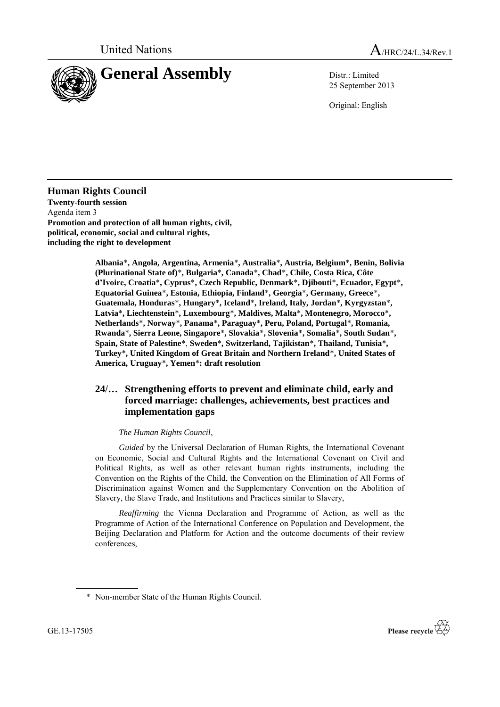



25 September 2013

Original: English

**Human Rights Council Twenty-fourth session** Agenda item 3 **Promotion and protection of all human rights, civil, political, economic, social and cultural rights, including the right to development**

> **Albania**\***, Angola, Argentina, Armenia**\***, Australia**\***, Austria, Belgium**\***, Benin, Bolivia (Plurinational State of)**\***, Bulgaria**\***, Canada**\***, Chad**\***, Chile, Costa Rica, Côte d'Ivoire, Croatia**\***, Cyprus**\***, Czech Republic, Denmark**\***, Djibouti**\***, Ecuador, Egypt**\***, Equatorial Guinea**\***, Estonia, Ethiopia, Finland**\***, Georgia**\***, Germany, Greece**\***, Guatemala, Honduras**\***, Hungary**\***, Iceland**\***, Ireland, Italy, Jordan**\***, Kyrgyzstan**\***, Latvia**\***, Liechtenstein**\***, Luxembourg**\***, Maldives, Malta**\***, Montenegro, Morocco**\***, Netherlands**\***, Norway**\***, Panama**\***, Paraguay**\***, Peru, Poland, Portugal**\***, Romania, Rwanda**\***, Sierra Leone, Singapore**\***, Slovakia**\***, Slovenia**\***, Somalia**\***, South Sudan**\***, Spain, State of Palestine**\*, **Sweden**\***, Switzerland, Tajikistan**\***, Thailand, Tunisia**\***, Turkey**\***, United Kingdom of Great Britain and Northern Ireland**\***, United States of America, Uruguay**\***, Yemen**\***: draft resolution**

## **24/… Strengthening efforts to prevent and eliminate child, early and forced marriage: challenges, achievements, best practices and implementation gaps**

## *The Human Rights Council*,

*Guided* by the Universal Declaration of Human Rights, the International Covenant on Economic, Social and Cultural Rights and the International Covenant on Civil and Political Rights, as well as other relevant human rights instruments, including the Convention on the Rights of the Child, the Convention on the Elimination of All Forms of Discrimination against Women and the Supplementary Convention on the Abolition of Slavery, the Slave Trade, and Institutions and Practices similar to Slavery,

*Reaffirming* the Vienna Declaration and Programme of Action, as well as the Programme of Action of the International Conference on Population and Development, the Beijing Declaration and Platform for Action and the outcome documents of their review conferences,



<sup>\*</sup> Non-member State of the Human Rights Council.